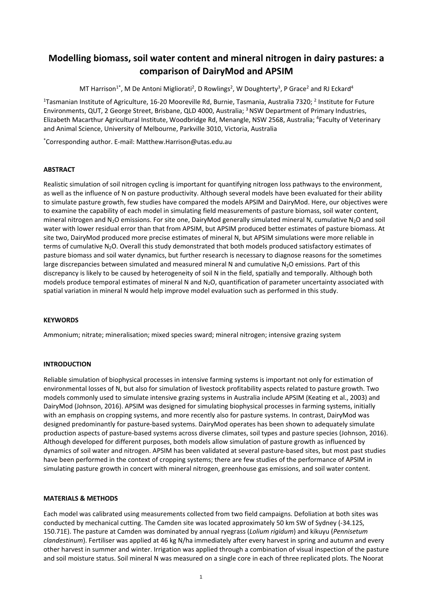# **Modelling biomass, soil water content and mineral nitrogen in dairy pastures: a comparison of DairyMod and APSIM**

MT Harrison<sup>1\*</sup>, M De Antoni Migliorati<sup>2</sup>, D Rowlings<sup>2</sup>, W Doughterty<sup>3</sup>, P Grace<sup>2</sup> and RJ Eckard<sup>4</sup>

<sup>1</sup>Tasmanian Institute of Agriculture, 16-20 Mooreville Rd, Burnie, Tasmania, Australia 7320; <sup>2</sup> Institute for Future Environments, QUT, 2 George Street, Brisbane, QLD 4000, Australia; <sup>3</sup>NSW Department of Primary Industries, Elizabeth Macarthur Agricultural Institute, Woodbridge Rd, Menangle, NSW 2568, Australia; <sup>4</sup>Faculty of Veterinary and Animal Science, University of Melbourne, Parkville 3010, Victoria, Australia

\*Corresponding author. E-mail: Matthew.Harrison@utas.edu.au

## **ABSTRACT**

Realistic simulation of soil nitrogen cycling is important for quantifying nitrogen loss pathways to the environment, as well as the influence of N on pasture productivity. Although several models have been evaluated for their ability to simulate pasture growth, few studies have compared the models APSIM and DairyMod. Here, our objectives were to examine the capability of each model in simulating field measurements of pasture biomass, soil water content, mineral nitrogen and N<sub>2</sub>O emissions. For site one, DairyMod generally simulated mineral N, cumulative N<sub>2</sub>O and soil water with lower residual error than that from APSIM, but APSIM produced better estimates of pasture biomass. At site two, DairyMod produced more precise estimates of mineral N, but APSIM simulations were more reliable in terms of cumulative N<sub>2</sub>O. Overall this study demonstrated that both models produced satisfactory estimates of pasture biomass and soil water dynamics, but further research is necessary to diagnose reasons for the sometimes large discrepancies between simulated and measured mineral N and cumulative  $N_2O$  emissions. Part of this discrepancy is likely to be caused by heterogeneity of soil N in the field, spatially and temporally. Although both models produce temporal estimates of mineral N and N<sub>2</sub>O, quantification of parameter uncertainty associated with spatial variation in mineral N would help improve model evaluation such as performed in this study.

## **KEYWORDS**

Ammonium; nitrate; mineralisation; mixed species sward; mineral nitrogen; intensive grazing system

## **INTRODUCTION**

Reliable simulation of biophysical processes in intensive farming systems is important not only for estimation of environmental losses of N, but also for simulation of livestock profitability aspects related to pasture growth. Two models commonly used to simulate intensive grazing systems in Australia include APSIM (Keating et al., 2003) and DairyMod (Johnson, 2016). APSIM was designed for simulating biophysical processes in farming systems, initially with an emphasis on cropping systems, and more recently also for pasture systems. In contrast, DairyMod was designed predominantly for pasture-based systems. DairyMod operates has been shown to adequately simulate production aspects of pasture-based systems across diverse climates, soil types and pasture species (Johnson, 2016). Although developed for different purposes, both models allow simulation of pasture growth as influenced by dynamics of soil water and nitrogen. APSIM has been validated at several pasture-based sites, but most past studies have been performed in the context of cropping systems; there are few studies of the performance of APSIM in simulating pasture growth in concert with mineral nitrogen, greenhouse gas emissions, and soil water content.

## **MATERIALS & METHODS**

Each model was calibrated using measurements collected from two field campaigns. Defoliation at both sites was conducted by mechanical cutting. The Camden site was located approximately 50 km SW of Sydney (-34.12S, 150.71E). The pasture at Camden was dominated by annual ryegrass (*Lolium rigidum*) and kikuyu (*Pennisetum clandestinum*). Fertiliser was applied at 46 kg N/ha immediately after every harvest in spring and autumn and every other harvest in summer and winter. Irrigation was applied through a combination of visual inspection of the pasture and soil moisture status. Soil mineral N was measured on a single core in each of three replicated plots. The Noorat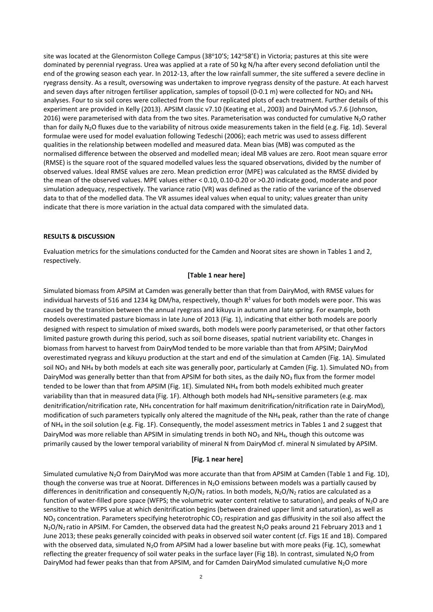site was located at the Glenormiston College Campus (38°10'S; 142°58'E) in Victoria; pastures at this site were dominated by perennial ryegrass. Urea was applied at a rate of 50 kg N/ha after every second defoliation until the end of the growing season each year. In 2012-13, after the low rainfall summer, the site suffered a severe decline in ryegrass density. As a result, oversowing was undertaken to improve ryegrass density of the pasture. At each harvest and seven days after nitrogen fertiliser application, samples of topsoil (0-0.1 m) were collected for NO<sub>3</sub> and NH<sub>4</sub> analyses. Four to six soil cores were collected from the four replicated plots of each treatment. Further details of this experiment are provided in Kelly (2013). APSIM classic v7.10 (Keating et al., 2003) and DairyMod v5.7.6 (Johnson, 2016) were parameterised with data from the two sites. Parameterisation was conducted for cumulative N<sub>2</sub>O rather than for daily N<sub>2</sub>O fluxes due to the variability of nitrous oxide measurements taken in the field (e.g. Fig. 1d). Several formulae were used for model evaluation following Tedeschi (2006); each metric was used to assess different qualities in the relationship between modelled and measured data. Mean bias (MB) was computed as the normalised difference between the observed and modelled mean; ideal MB values are zero. Root mean square error (RMSE) is the square root of the squared modelled values less the squared observations, divided by the number of observed values. Ideal RMSE values are zero. Mean prediction error (MPE) was calculated as the RMSE divided by the mean of the observed values. MPE values either < 0.10, 0.10-0.20 or >0.20 indicate good, moderate and poor simulation adequacy, respectively. The variance ratio (VR) was defined as the ratio of the variance of the observed data to that of the modelled data. The VR assumes ideal values when equal to unity; values greater than unity indicate that there is more variation in the actual data compared with the simulated data.

#### **RESULTS & DISCUSSION**

Evaluation metrics for the simulations conducted for the Camden and Noorat sites are shown in Tables 1 and 2, respectively.

#### **[Table 1 near here]**

Simulated biomass from APSIM at Camden was generally better than that from DairyMod, with RMSE values for individual harvests of 516 and 1234 kg DM/ha, respectively, though  $R^2$  values for both models were poor. This was caused by the transition between the annual ryegrass and kikuyu in autumn and late spring. For example, both models overestimated pasture biomass in late June of 2013 (Fig. 1), indicating that either both models are poorly designed with respect to simulation of mixed swards, both models were poorly parameterised, or that other factors limited pasture growth during this period, such as soil borne diseases, spatial nutrient variability etc. Changes in biomass from harvest to harvest from DairyMod tended to be more variable than that from APSIM; DairyMod overestimated ryegrass and kikuyu production at the start and end of the simulation at Camden (Fig. 1A). Simulated soil NO<sub>3</sub> and NH<sub>4</sub> by both models at each site was generally poor, particularly at Camden (Fig. 1). Simulated NO<sub>3</sub> from DairyMod was generally better than that from APSIM for both sites, as the daily  $NO<sub>3</sub>$  flux from the former model tended to be lower than that from APSIM (Fig. 1E). Simulated NH<sup>4</sup> from both models exhibited much greater variability than that in measured data (Fig. 1F). Although both models had NH4-sensitive parameters (e.g. max denitrification/nitrification rate, NH<sup>4</sup> concentration for half maximum denitrification/nitrification rate in DairyMod), modification of such parameters typically only altered the magnitude of the NH<sub>4</sub> peak, rather than the rate of change of NH<sup>4</sup> in the soil solution (e.g. Fig. 1F). Consequently, the model assessment metrics in Tables 1 and 2 suggest that DairyMod was more reliable than APSIM in simulating trends in both NO<sub>3</sub> and NH<sub>4</sub>, though this outcome was primarily caused by the lower temporal variability of mineral N from DairyMod cf. mineral N simulated by APSIM.

#### **[Fig. 1 near here]**

Simulated cumulative N<sub>2</sub>O from DairyMod was more accurate than that from APSIM at Camden (Table 1 and Fig. 1D), though the converse was true at Noorat. Differences in  $N_2O$  emissions between models was a partially caused by differences in denitrification and consequently  $N_2O/N_2$  ratios. In both models,  $N_2O/N_2$  ratios are calculated as a function of water-filled pore space (WFPS; the volumetric water content relative to saturation), and peaks of  $N_2O$  are sensitive to the WFPS value at which denitrification begins (between drained upper limit and saturation), as well as  $NO<sub>3</sub>$  concentration. Parameters specifying heterotrophic CO<sub>2</sub> respiration and gas diffusivity in the soil also affect the N<sub>2</sub>O/N<sub>2</sub> ratio in APSIM. For Camden, the observed data had the greatest N<sub>2</sub>O peaks around 21 February 2013 and 1 June 2013; these peaks generally coincided with peaks in observed soil water content (cf. Figs 1E and 1B). Compared with the observed data, simulated N<sub>2</sub>O from APSIM had a lower baseline but with more peaks (Fig. 1C), somewhat reflecting the greater frequency of soil water peaks in the surface layer (Fig 1B). In contrast, simulated  $N_2O$  from DairyMod had fewer peaks than that from APSIM, and for Camden DairyMod simulated cumulative N<sub>2</sub>O more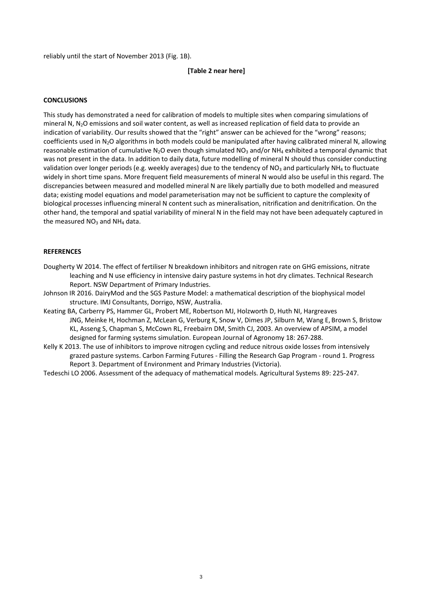reliably until the start of November 2013 (Fig. 1B).

#### **[Table 2 near here]**

### **CONCLUSIONS**

This study has demonstrated a need for calibration of models to multiple sites when comparing simulations of mineral N, N2O emissions and soil water content, as well as increased replication of field data to provide an indication of variability. Our results showed that the "right" answer can be achieved for the "wrong" reasons; coefficients used in  $N_2O$  algorithms in both models could be manipulated after having calibrated mineral N, allowing reasonable estimation of cumulative N<sub>2</sub>O even though simulated NO<sub>3</sub> and/or NH<sub>4</sub> exhibited a temporal dynamic that was not present in the data. In addition to daily data, future modelling of mineral N should thus consider conducting validation over longer periods (e.g. weekly averages) due to the tendency of  $NO<sub>3</sub>$  and particularly  $NH<sub>4</sub>$  to fluctuate widely in short time spans. More frequent field measurements of mineral N would also be useful in this regard. The discrepancies between measured and modelled mineral N are likely partially due to both modelled and measured data; existing model equations and model parameterisation may not be sufficient to capture the complexity of biological processes influencing mineral N content such as mineralisation, nitrification and denitrification. On the other hand, the temporal and spatial variability of mineral N in the field may not have been adequately captured in the measured  $NO<sub>3</sub>$  and  $NH<sub>4</sub>$  data.

## **REFERENCES**

- Dougherty W 2014. The effect of fertiliser N breakdown inhibitors and nitrogen rate on GHG emissions, nitrate leaching and N use efficiency in intensive dairy pasture systems in hot dry climates. Technical Research Report. NSW Department of Primary Industries.
- Johnson IR 2016. DairyMod and the SGS Pasture Model: a mathematical description of the biophysical model structure. IMJ Consultants, Dorrigo, NSW, Australia.
- Keating BA, Carberry PS, Hammer GL, Probert ME, Robertson MJ, Holzworth D, Huth NI, Hargreaves JNG, Meinke H, Hochman Z, McLean G, Verburg K, Snow V, Dimes JP, Silburn M, Wang E, Brown S, Bristow KL, Asseng S, Chapman S, McCown RL, Freebairn DM, Smith CJ, 2003. An overview of APSIM, a model designed for farming systems simulation. European Journal of Agronomy 18: 267-288.
- Kelly K 2013. The use of inhibitors to improve nitrogen cycling and reduce nitrous oxide losses from intensively grazed pasture systems. Carbon Farming Futures - Filling the Research Gap Program - round 1. Progress Report 3. Department of Environment and Primary Industries (Victoria).
- Tedeschi LO 2006. Assessment of the adequacy of mathematical models. Agricultural Systems 89: 225-247.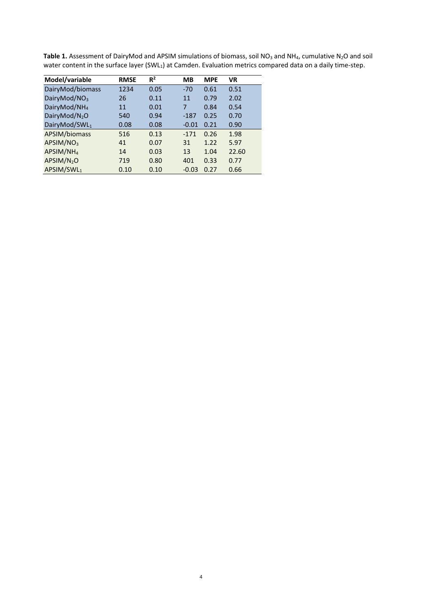| <b>Table 1.</b> Assessment of DairyMod and APSIM simulations of biomass, soil NO <sub>3</sub> and NH <sub>4</sub> , cumulative N <sub>2</sub> O and soil |  |
|----------------------------------------------------------------------------------------------------------------------------------------------------------|--|
| water content in the surface layer (SWL <sub>1</sub> ) at Camden. Evaluation metrics compared data on a daily time-step.                                 |  |

4

| Model/variable           | <b>RMSE</b> | $R^2$ | MВ      | <b>MPE</b> | <b>VR</b> |
|--------------------------|-------------|-------|---------|------------|-----------|
| DairyMod/biomass         | 1234        | 0.05  | $-70$   | 0.61       | 0.51      |
| DairyMod/NO <sub>3</sub> | 26          | 0.11  | 11      | 0.79       | 2.02      |
| DairyMod/NH <sub>4</sub> | 11          | 0.01  | 7       | 0.84       | 0.54      |
| DairyMod/ $N_2O$         | 540         | 0.94  | $-187$  | 0.25       | 0.70      |
| DairyMod/SWL1            | 0.08        | 0.08  | $-0.01$ | 0.21       | 0.90      |
| APSIM/biomass            | 516         | 0.13  | $-171$  | 0.26       | 1.98      |
| APSIM/NO <sub>3</sub>    | 41          | 0.07  | 31      | 1.22       | 5.97      |
| APSIM/NH <sub>4</sub>    | 14          | 0.03  | 13      | 1.04       | 22.60     |
| APSIM/N <sub>2</sub> O   | 719         | 0.80  | 401     | 0.33       | 0.77      |
| APSIM/SWL1               | 0.10        | 0.10  | $-0.03$ | 0.27       | 0.66      |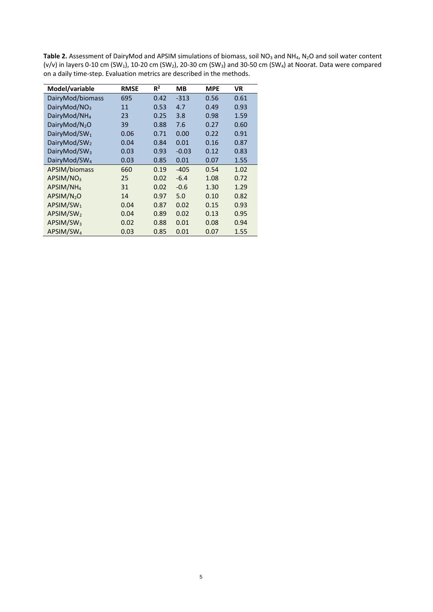Table 2. Assessment of DairyMod and APSIM simulations of biomass, soil NO<sub>3</sub> and NH<sub>4</sub>, N<sub>2</sub>O and soil water content (v/v) in layers 0-10 cm (SW<sub>1</sub>), 10-20 cm (SW<sub>2</sub>), 20-30 cm (SW<sub>3</sub>) and 30-50 cm (SW<sub>4</sub>) at Noorat. Data were compared on a daily time-step. Evaluation metrics are described in the methods.

| Model/variable            | <b>RMSE</b> | $R^2$ | MВ      | <b>MPE</b> | <b>VR</b> |
|---------------------------|-------------|-------|---------|------------|-----------|
| DairyMod/biomass          | 695         | 0.42  | $-313$  | 0.56       | 0.61      |
| DairyMod/NO <sub>3</sub>  | 11          | 0.53  | 4.7     | 0.49       | 0.93      |
| DairyMod/NH <sub>4</sub>  | 23          | 0.25  | 3.8     | 0.98       | 1.59      |
| DairyMod/N <sub>2</sub> O | 39          | 0.88  | 7.6     | 0.27       | 0.60      |
| DairyMod/SW <sub>1</sub>  | 0.06        | 0.71  | 0.00    | 0.22       | 0.91      |
| DairyMod/SW <sub>2</sub>  | 0.04        | 0.84  | 0.01    | 0.16       | 0.87      |
| DairyMod/SW <sub>3</sub>  | 0.03        | 0.93  | $-0.03$ | 0.12       | 0.83      |
| DairyMod/SW <sub>4</sub>  | 0.03        | 0.85  | 0.01    | 0.07       | 1.55      |
| APSIM/biomass             | 660         | 0.19  | $-405$  | 0.54       | 1.02      |
| APSIM/NO <sub>3</sub>     | 25          | 0.02  | $-6.4$  | 1.08       | 0.72      |
| APSIM/NH <sub>4</sub>     | 31          | 0.02  | $-0.6$  | 1.30       | 1.29      |
| APSIM/N <sub>2</sub> O    | 14          | 0.97  | 5.0     | 0.10       | 0.82      |
| APSIM/SW <sub>1</sub>     | 0.04        | 0.87  | 0.02    | 0.15       | 0.93      |
| APSIM/SW <sub>2</sub>     | 0.04        | 0.89  | 0.02    | 0.13       | 0.95      |
| APSIM/SW <sub>3</sub>     | 0.02        | 0.88  | 0.01    | 0.08       | 0.94      |
| APSIM/SW <sub>4</sub>     | 0.03        | 0.85  | 0.01    | 0.07       | 1.55      |